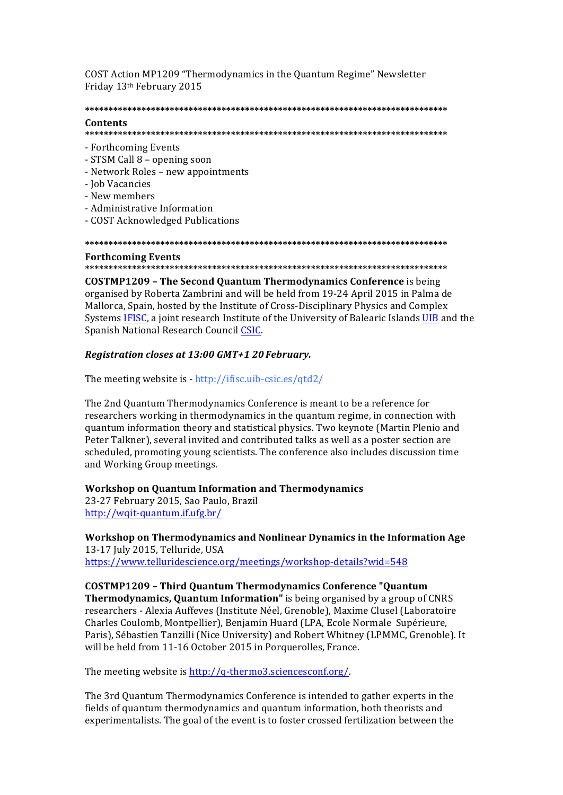COST Action MP1209 "Thermodynamics in the Quantum Regime" Newsletter Friday 13th February 2015

## 

## Contents

- Forthcoming Events
- STSM Call 8 opening soon
- Network Roles new appointments
- Job Vacancies
- New members
- Administrative Information
- COST Acknowledged Publications

#### 

#### **Forthcoming Events**

**COSTMP1209 - The Second Quantum Thermodynamics Conference** is being organised by Roberta Zambrini and will be held from 19-24 April 2015 in Palma de Mallorca, Spain, hosted by the Institute of Cross-Disciplinary Physics and Complex Systems IFISC, a joint research Institute of the University of Balearic Islands UIB and the Spanish National Research Council CSIC.

## Registration closes at 13:00 GMT+1 20 February.

The meeting website is - http://ifisc.uib-csic.es/qtd2/

The 2nd Quantum Thermodynamics Conference is meant to be a reference for researchers working in thermodynamics in the quantum regime, in connection with quantum information theory and statistical physics. Two keynote (Martin Plenio and Peter Talkner), several invited and contributed talks as well as a poster section are scheduled, promoting young scientists. The conference also includes discussion time and Working Group meetings.

## **Workshop on Quantum Information and Thermodynamics**

23-27 February 2015, Sao Paulo, Brazil http://wqit-quantum.if.ufg.br/

Workshop on Thermodynamics and Nonlinear Dynamics in the Information Age 13-17 July 2015, Telluride, USA https://www.telluridescience.org/meetings/workshop-details?wid=548

**COSTMP1209 - Third Quantum Thermodynamics Conference "Quantum Thermodynamics, Quantum Information"** is being organised by a group of CNRS researchers - Alexia Auffeves (Institute Néel, Grenoble), Maxime Clusel (Laboratoire Charles Coulomb, Montpellier), Benjamin Huard (LPA, Ecole Normale Supérieure, Paris), Sébastien Tanzilli (Nice University) and Robert Whitney (LPMMC, Grenoble). It will be held from 11-16 October 2015 in Porquerolles, France.

The meeting website is http://q-thermo3.sciencesconf.org/

The 3rd Quantum Thermodynamics Conference is intended to gather experts in the fields of quantum thermodynamics and quantum information, both theorists and experimentalists. The goal of the event is to foster crossed fertilization between the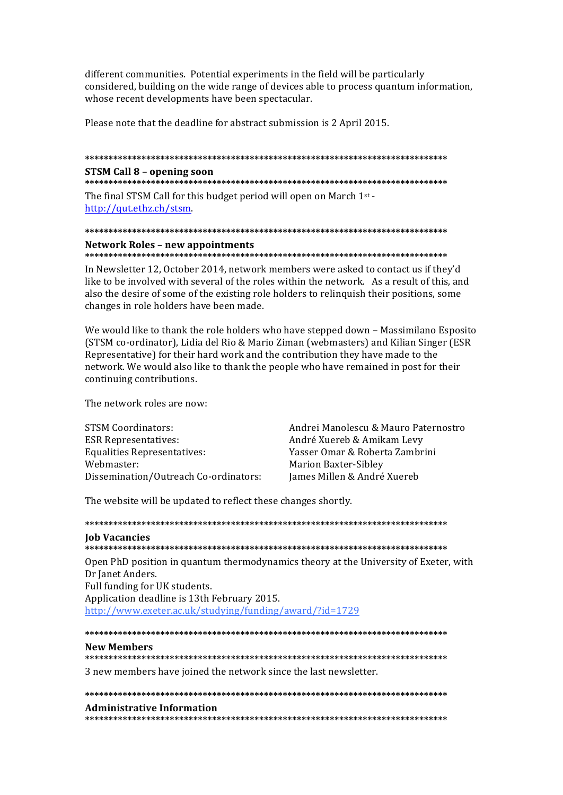different communities. Potential experiments in the field will be particularly considered, building on the wide range of devices able to process quantum information, whose recent developments have been spectacular.

Please note that the deadline for abstract submission is 2 April 2015.

# 

## **STSM Call 8 - opening soon**

The final STSM Call for this budget period will open on March 1st http://qut.ethz.ch/stsm.

## **Network Roles - new appointments**

In Newsletter 12, October 2014, network members were asked to contact us if they'd like to be involved with several of the roles within the network. As a result of this, and also the desire of some of the existing role holders to relinquish their positions, some changes in role holders have been made.

We would like to thank the role holders who have stepped down - Massimilano Esposito (STSM co-ordinator), Lidia del Rio & Mario Ziman (webmasters) and Kilian Singer (ESR Representative) for their hard work and the contribution they have made to the network. We would also like to thank the people who have remained in post for their continuing contributions.

The network roles are now:

**STSM Coordinators: ESR Representatives: Equalities Representatives:** Webmaster: Dissemination/Outreach Co-ordinators: Andrei Manolescu & Mauro Paternostro André Xuereb & Amikam Levy Yasser Omar & Roberta Zambrini **Marion Baxter-Sibley** James Millen & André Xuereb

The website will be updated to reflect these changes shortly.

# **Iob Vacancies** Open PhD position in quantum thermodynamics theory at the University of Exeter, with Dr Janet Anders. Full funding for UK students. Application deadline is 13th February 2015. http://www.exeter.ac.uk/studying/funding/award/?id=1729

# 

#### **New Members**

3 new members have joined the network since the last newsletter.

# **Administrative Information**